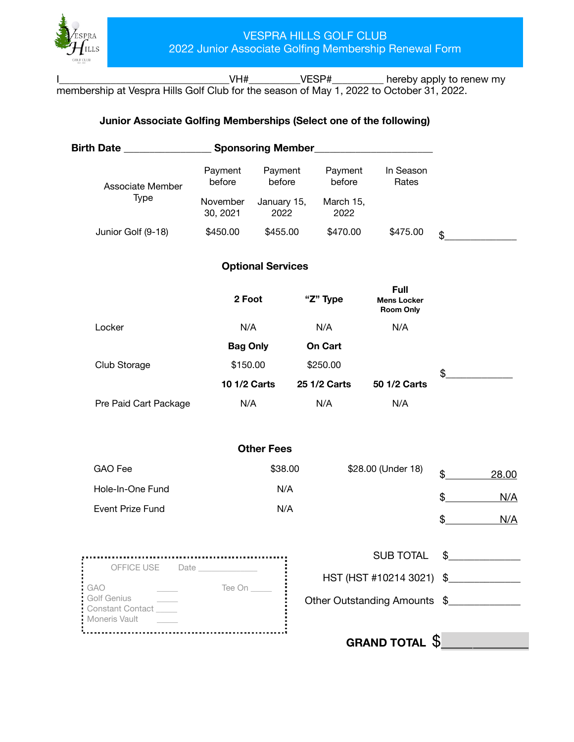

I\_\_\_\_\_\_\_\_\_\_\_\_\_\_\_\_\_\_\_\_\_\_\_\_\_\_\_\_\_\_\_\_\_VH#\_\_\_\_\_\_\_\_\_\_VESP#\_\_\_\_\_\_\_\_\_\_ hereby apply to renew my membership at Vespra Hills Golf Club for the season of May 1, 2022 to October 31, 2022.

## **Junior Associate Golfing Memberships (Select one of the following)**

| Birth Date ____________                                 |                                        | <b>Sponsoring Member_</b> |                              |                                                       |          |       |
|---------------------------------------------------------|----------------------------------------|---------------------------|------------------------------|-------------------------------------------------------|----------|-------|
| Associate Member                                        | Payment<br>Payment<br>before<br>before |                           | Payment<br>before            | In Season<br>Rates                                    |          |       |
| <b>Type</b>                                             | November<br>30, 2021                   | January 15,<br>2022       | March 15,<br>2022            |                                                       |          |       |
| Junior Golf (9-18)                                      | \$450.00                               | \$455.00                  | \$470.00                     | \$475.00                                              | \$       |       |
|                                                         |                                        | <b>Optional Services</b>  |                              |                                                       |          |       |
|                                                         | 2 Foot                                 |                           | "Z" Type                     | <b>Full</b><br><b>Mens Locker</b><br><b>Room Only</b> |          |       |
| Locker                                                  | N/A                                    |                           | N/A                          | N/A                                                   |          |       |
|                                                         | <b>Bag Only</b>                        |                           | <b>On Cart</b>               |                                                       |          |       |
| Club Storage                                            | \$150.00                               |                           | \$250.00                     |                                                       | \$       |       |
|                                                         | <b>10 1/2 Carts</b>                    |                           | 25 1/2 Carts                 | 50 1/2 Carts                                          |          |       |
| Pre Paid Cart Package                                   | N/A                                    |                           | N/A                          | N/A                                                   |          |       |
|                                                         |                                        | <b>Other Fees</b>         |                              |                                                       |          |       |
| GAO Fee                                                 | \$38.00                                |                           |                              | \$28.00 (Under 18)                                    |          | 28.00 |
| Hole-In-One Fund                                        | N/A                                    |                           |                              |                                                       | \$<br>\$ | N/A   |
| <b>Event Prize Fund</b>                                 | N/A                                    |                           |                              |                                                       |          |       |
|                                                         |                                        |                           |                              |                                                       | \$       | N/A   |
|                                                         |                                        |                           |                              | <b>SUB TOTAL</b>                                      | \$       |       |
| OFFICE USE Date ______________                          |                                        |                           |                              | HST (HST #10214 3021) \$                              |          |       |
| GAO<br>Golf Genius<br>Constant Contact<br>Moneris Vault | Tee On _____                           |                           | Other Outstanding Amounts \$ |                                                       |          |       |
|                                                         |                                        |                           |                              | GRAND TOTAL $\$\_$                                    |          |       |